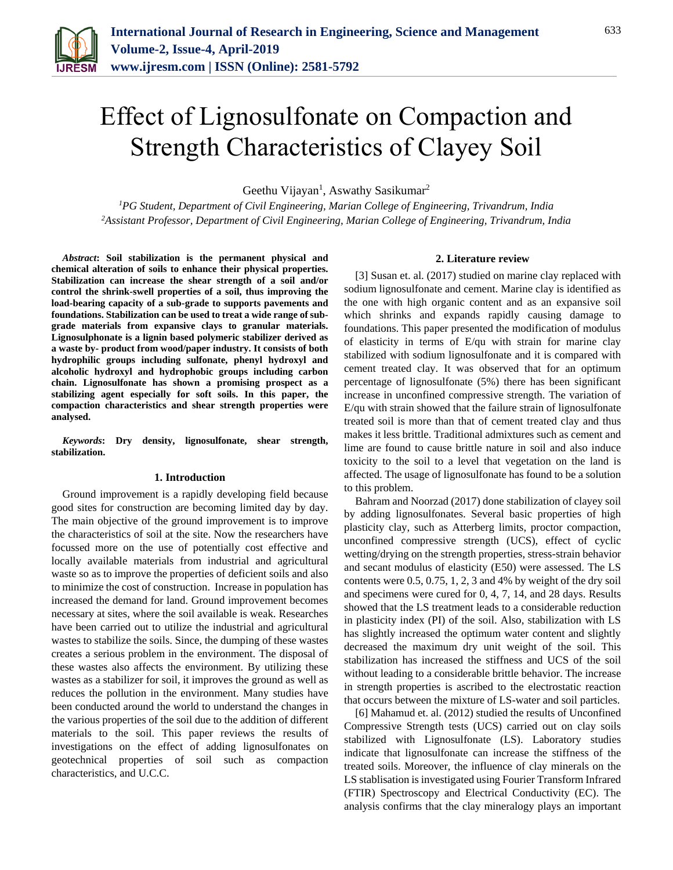

# Effect of Lignosulfonate on Compaction and Strength Characteristics of Clayey Soil

Geethu Vijayan<sup>1</sup>, Aswathy Sasikumar<sup>2</sup>

*<sup>1</sup>PG Student, Department of Civil Engineering, Marian College of Engineering, Trivandrum, India <sup>2</sup>Assistant Professor, Department of Civil Engineering, Marian College of Engineering, Trivandrum, India*

*Abstract***: Soil stabilization is the permanent physical and chemical alteration of soils to enhance their physical properties. Stabilization can increase the shear strength of a soil and/or control the shrink-swell properties of a soil, thus improving the load-bearing capacity of a sub-grade to supports pavements and foundations. Stabilization can be used to treat a wide range of subgrade materials from expansive clays to granular materials. Lignosulphonate is a lignin based polymeric stabilizer derived as a waste by- product from wood/paper industry. It consists of both hydrophilic groups including sulfonate, phenyl hydroxyl and alcoholic hydroxyl and hydrophobic groups including carbon chain. Lignosulfonate has shown a promising prospect as a stabilizing agent especially for soft soils. In this paper, the compaction characteristics and shear strength properties were analysed.**

*Keywords***: Dry density, lignosulfonate, shear strength, stabilization.**

# **1. Introduction**

Ground improvement is a rapidly developing field because good sites for construction are becoming limited day by day. The main objective of the ground improvement is to improve the characteristics of soil at the site. Now the researchers have focussed more on the use of potentially cost effective and locally available materials from industrial and agricultural waste so as to improve the properties of deficient soils and also to minimize the cost of construction. Increase in population has increased the demand for land. Ground improvement becomes necessary at sites, where the soil available is weak. Researches have been carried out to utilize the industrial and agricultural wastes to stabilize the soils. Since, the dumping of these wastes creates a serious problem in the environment. The disposal of these wastes also affects the environment. By utilizing these wastes as a stabilizer for soil, it improves the ground as well as reduces the pollution in the environment. Many studies have been conducted around the world to understand the changes in the various properties of the soil due to the addition of different materials to the soil. This paper reviews the results of investigations on the effect of adding lignosulfonates on geotechnical properties of soil such as compaction characteristics, and U.C.C.

# **2. Literature review**

[3] Susan et. al. (2017) studied on marine clay replaced with sodium lignosulfonate and cement. Marine clay is identified as the one with high organic content and as an expansive soil which shrinks and expands rapidly causing damage to foundations. This paper presented the modification of modulus of elasticity in terms of E/qu with strain for marine clay stabilized with sodium lignosulfonate and it is compared with cement treated clay. It was observed that for an optimum percentage of lignosulfonate (5%) there has been significant increase in unconfined compressive strength. The variation of E/qu with strain showed that the failure strain of lignosulfonate treated soil is more than that of cement treated clay and thus makes it less brittle. Traditional admixtures such as cement and lime are found to cause brittle nature in soil and also induce toxicity to the soil to a level that vegetation on the land is affected. The usage of lignosulfonate has found to be a solution to this problem.

Bahram and Noorzad (2017) done stabilization of clayey soil by adding lignosulfonates. Several basic properties of high plasticity clay, such as Atterberg limits, proctor compaction, unconfined compressive strength (UCS), effect of cyclic wetting/drying on the strength properties, stress-strain behavior and secant modulus of elasticity (E50) were assessed. The LS contents were 0.5, 0.75, 1, 2, 3 and 4% by weight of the dry soil and specimens were cured for 0, 4, 7, 14, and 28 days. Results showed that the LS treatment leads to a considerable reduction in plasticity index (PI) of the soil. Also, stabilization with LS has slightly increased the optimum water content and slightly decreased the maximum dry unit weight of the soil. This stabilization has increased the stiffness and UCS of the soil without leading to a considerable brittle behavior. The increase in strength properties is ascribed to the electrostatic reaction that occurs between the mixture of LS-water and soil particles.

[6] Mahamud et. al. (2012) studied the results of Unconfined Compressive Strength tests (UCS) carried out on clay soils stabilized with Lignosulfonate (LS). Laboratory studies indicate that lignosulfonate can increase the stiffness of the treated soils. Moreover, the influence of clay minerals on the LS stablisation is investigated using Fourier Transform Infrared (FTIR) Spectroscopy and Electrical Conductivity (EC). The analysis confirms that the clay mineralogy plays an important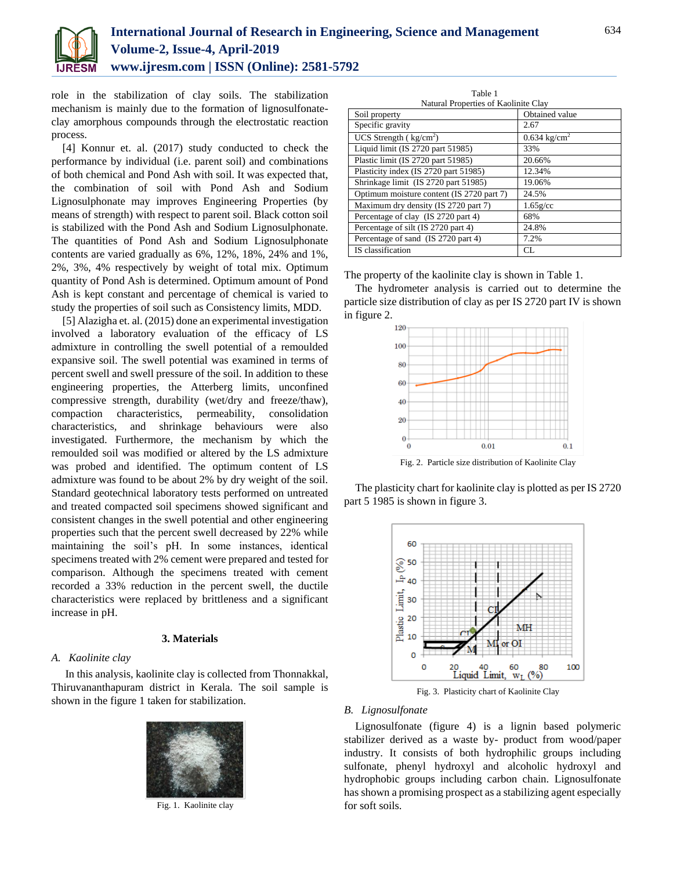

role in the stabilization of clay soils. The stabilization mechanism is mainly due to the formation of lignosulfonateclay amorphous compounds through the electrostatic reaction process.

[4] Konnur et. al. (2017) study conducted to check the performance by individual (i.e. parent soil) and combinations of both chemical and Pond Ash with soil. It was expected that, the combination of soil with Pond Ash and Sodium Lignosulphonate may improves Engineering Properties (by means of strength) with respect to parent soil. Black cotton soil is stabilized with the Pond Ash and Sodium Lignosulphonate. The quantities of Pond Ash and Sodium Lignosulphonate contents are varied gradually as 6%, 12%, 18%, 24% and 1%, 2%, 3%, 4% respectively by weight of total mix. Optimum quantity of Pond Ash is determined. Optimum amount of Pond Ash is kept constant and percentage of chemical is varied to study the properties of soil such as Consistency limits, MDD.

[5] Alazigha et. al. (2015) done an experimental investigation involved a laboratory evaluation of the efficacy of LS admixture in controlling the swell potential of a remoulded expansive soil. The swell potential was examined in terms of percent swell and swell pressure of the soil. In addition to these engineering properties, the Atterberg limits, unconfined compressive strength, durability (wet/dry and freeze/thaw), compaction characteristics, permeability, consolidation characteristics, and shrinkage behaviours were also investigated. Furthermore, the mechanism by which the remoulded soil was modified or altered by the LS admixture was probed and identified. The optimum content of LS admixture was found to be about 2% by dry weight of the soil. Standard geotechnical laboratory tests performed on untreated and treated compacted soil specimens showed significant and consistent changes in the swell potential and other engineering properties such that the percent swell decreased by 22% while maintaining the soil's pH. In some instances, identical specimens treated with 2% cement were prepared and tested for comparison. Although the specimens treated with cement recorded a 33% reduction in the percent swell, the ductile characteristics were replaced by brittleness and a significant increase in pH.

#### **3. Materials**

## *A. Kaolinite clay*

In this analysis, kaolinite clay is collected from Thonnakkal, Thiruvananthapuram district in Kerala. The soil sample is shown in the figure 1 taken for stabilization.



Fig. 1. Kaolinite clay

| Table 1                              |
|--------------------------------------|
| Natural Properties of Kaolinite Clay |

| <b>Natural Froperies of Kaomine Clay</b> |
|------------------------------------------|
| Obtained value                           |
| 2.67                                     |
| $0.634 \text{ kg/cm}^2$                  |
| 33%                                      |
| 20.66%                                   |
| 12.34%                                   |
| 19.06%                                   |
| 24.5%                                    |
| 1.65g/cc                                 |
| 68%                                      |
| 24.8%                                    |
| 7.2%                                     |
| CL                                       |
|                                          |

The property of the kaolinite clay is shown in Table 1.

The hydrometer analysis is carried out to determine the particle size distribution of clay as per IS 2720 part IV is shown in figure 2.



Fig. 2. Particle size distribution of Kaolinite Clay

The plasticity chart for kaolinite clay is plotted as per IS 2720 part 5 1985 is shown in figure 3.



Fig. 3. Plasticity chart of Kaolinite Clay

## *B. Lignosulfonate*

Lignosulfonate (figure 4) is a lignin based polymeric stabilizer derived as a waste by- product from wood/paper industry. It consists of both hydrophilic groups including sulfonate, phenyl hydroxyl and alcoholic hydroxyl and hydrophobic groups including carbon chain. Lignosulfonate has shown a promising prospect as a stabilizing agent especially for soft soils.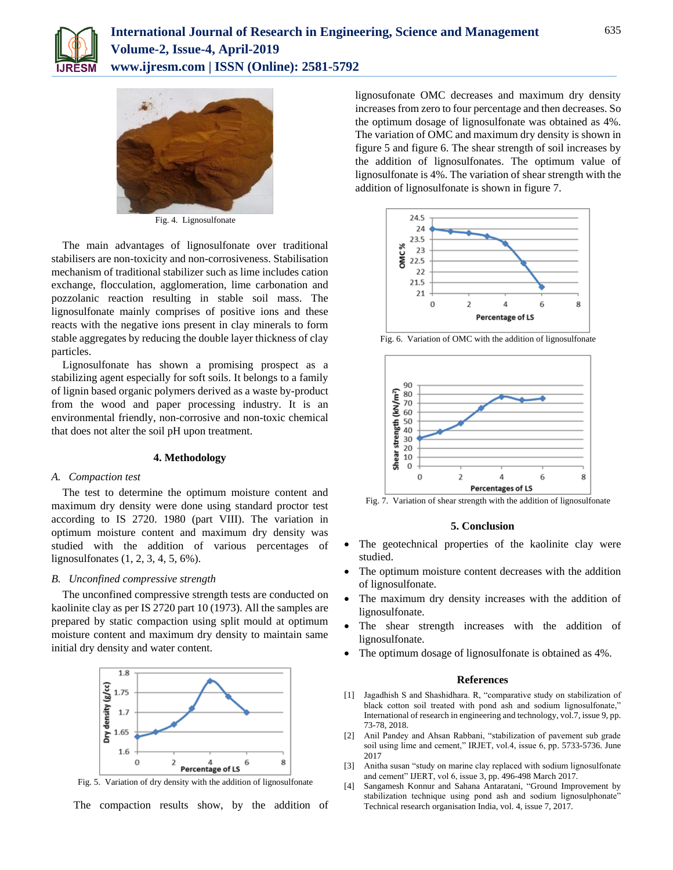



Fig. 4. Lignosulfonate

The main advantages of lignosulfonate over traditional stabilisers are non-toxicity and non-corrosiveness. Stabilisation mechanism of traditional stabilizer such as lime includes cation exchange, flocculation, agglomeration, lime carbonation and pozzolanic reaction resulting in stable soil mass. The lignosulfonate mainly comprises of positive ions and these reacts with the negative ions present in clay minerals to form stable aggregates by reducing the double layer thickness of clay particles.

Lignosulfonate has shown a promising prospect as a stabilizing agent especially for soft soils. It belongs to a family of lignin based organic polymers derived as a waste by-product from the wood and paper processing industry. It is an environmental friendly, non-corrosive and non-toxic chemical that does not alter the soil pH upon treatment.

# **4. Methodology**

#### *A. Compaction test*

The test to determine the optimum moisture content and maximum dry density were done using standard proctor test according to IS 2720. 1980 (part VIII). The variation in optimum moisture content and maximum dry density was studied with the addition of various percentages of lignosulfonates (1, 2, 3, 4, 5, 6%).

# *B. Unconfined compressive strength*

The unconfined compressive strength tests are conducted on kaolinite clay as per IS 2720 part 10 (1973). All the samples are prepared by static compaction using split mould at optimum moisture content and maximum dry density to maintain same initial dry density and water content.



Fig. 5. Variation of dry density with the addition of lignosulfonate

The compaction results show, by the addition of

lignosufonate OMC decreases and maximum dry density increases from zero to four percentage and then decreases. So the optimum dosage of lignosulfonate was obtained as 4%. The variation of OMC and maximum dry density is shown in figure 5 and figure 6. The shear strength of soil increases by the addition of lignosulfonates. The optimum value of lignosulfonate is 4%. The variation of shear strength with the addition of lignosulfonate is shown in figure 7.



Fig. 6. Variation of OMC with the addition of lignosulfonate



Fig. 7. Variation of shear strength with the addition of lignosulfonate

# **5. Conclusion**

- The geotechnical properties of the kaolinite clay were studied.
- The optimum moisture content decreases with the addition of lignosulfonate.
- The maximum dry density increases with the addition of lignosulfonate.
- The shear strength increases with the addition of lignosulfonate.
- The optimum dosage of lignosulfonate is obtained as 4%.

#### **References**

- [1] Jagadhish S and Shashidhara. R, "comparative study on stabilization of black cotton soil treated with pond ash and sodium lignosulfonate," International of research in engineering and technology, vol.7, issue 9, pp. 73-78, 2018.
- [2] Anil Pandey and Ahsan Rabbani, "stabilization of pavement sub grade soil using lime and cement," IRJET, vol.4, issue 6, pp. 5733-5736. June 2017
- [3] Anitha susan "study on marine clay replaced with sodium lignosulfonate and cement" IJERT, vol 6, issue 3, pp. 496-498 March 2017.
- [4] Sangamesh Konnur and Sahana Antaratani, "Ground Improvement by stabilization technique using pond ash and sodium lignosulphonate" Technical research organisation India, vol. 4, issue 7, 2017.